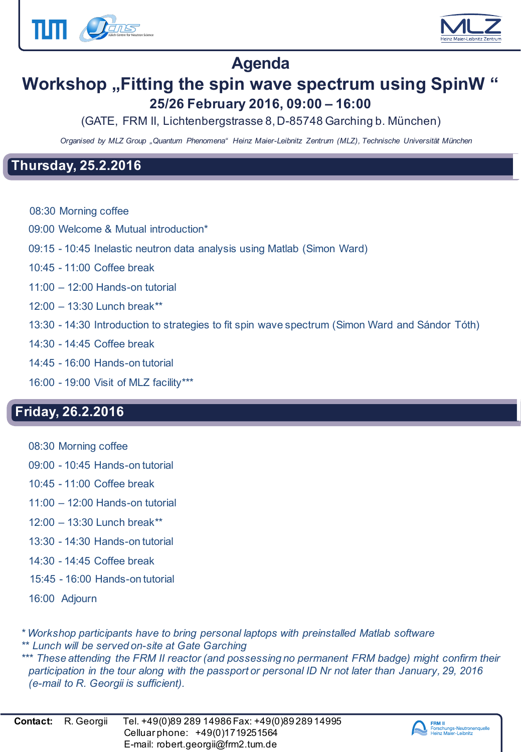



### **Agenda**

## **Workshop "Fitting the spin wave spectrum using SpinW " 25/26 February 2016, 09:00 – 16:00**

(GATE, FRM II, Lichtenbergstrasse 8, D-85748 Garching b. München)

*Organised by MLZ Group "Quantum Phenomena" Heinz Maier-Leibnitz Zentrum (MLZ), Technische Universität München*

#### **Thursday, 25.2.2016**

- 08:30 Morning coffee
- 09:00 Welcome & Mutual introduction\*
- 09:15 10:45 Inelastic neutron data analysis using Matlab (Simon Ward)
- 10:45 11:00 Coffee break
- 11:00 12:00 Hands-on tutorial
- 12:00 13:30 Lunch break\*\*
- 13:30 14:30 Introduction to strategies to fit spin wave spectrum (Simon Ward and Sándor Tóth)
- 14:30 14:45 Coffee break
- 14:45 16:00 Hands-on tutorial
- 16:00 19:00 Visit of MLZ facility\*\*\*

### **Friday, 26.2.2016**

- 08:30 Morning coffee
- 09:00 10:45 Hands-on tutorial
- 10:45 11:00 Coffee break
- 11:00 12:00 Hands-on tutorial
- 12:00 13:30 Lunch break\*\*
- 13:30 14:30 Hands-on tutorial
- 14:30 14:45 Coffee break
- 15:45 16:00 Hands-on tutorial
- 16:00 Adjourn

*\* Workshop participants have to bring personal laptops with preinstalled Matlab software \*\* Lunch will be served on-site at Gate Garching \*\*\* These attending the FRM II reactor (and possessing no permanent FRM badge) might confirm their participation in the tour along with the passport or personal ID Nr not later than January, 29, 2016 (e-mail to R. Georgii is sufficient).*

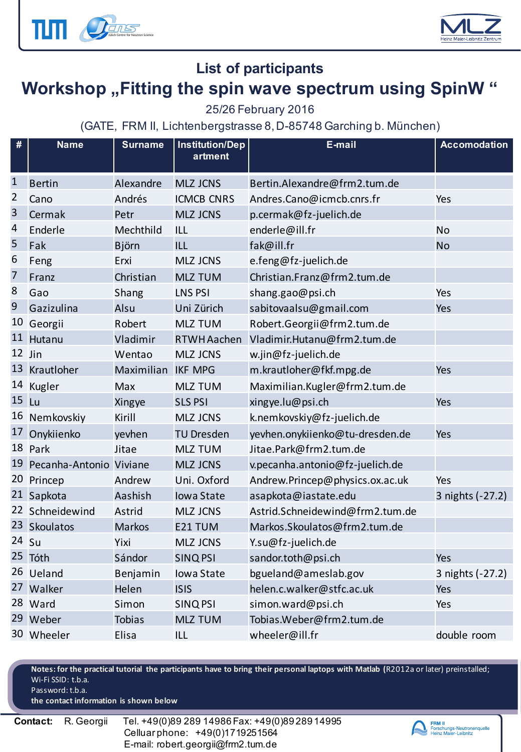



#### **List of participants**

## Workshop "Fitting the spin wave spectrum using SpinW "

#### 25/26 February 2016

(GATE, FRM II, Lichtenbergstrasse 8, D-85748 Garching b. München)

| #              | <b>Name</b>                | <b>Surname</b>     | <b>Institution/Dep</b><br>artment | E-mail                          | <b>Accomodation</b> |
|----------------|----------------------------|--------------------|-----------------------------------|---------------------------------|---------------------|
| $\mathbf{1}$   | <b>Bertin</b>              | Alexandre          | <b>MLZ JCNS</b>                   | Bertin.Alexandre@frm2.tum.de    |                     |
| $\overline{2}$ | Cano                       | Andrés             | <b>ICMCB CNRS</b>                 | Andres.Cano@icmcb.cnrs.fr       | Yes                 |
| 3              | Cermak                     | Petr               | <b>MLZ JCNS</b>                   | p.cermak@fz-juelich.de          |                     |
| 4              | Enderle                    | Mechthild          | <b>ILL</b>                        | enderle@ill.fr                  | <b>No</b>           |
| 5              | Fak                        | Björn              | <b>ILL</b>                        | fak@ill.fr                      | <b>No</b>           |
| 6              | Feng                       | Erxi               | <b>MLZ JCNS</b>                   | e.feng@fz-juelich.de            |                     |
| 7              | Franz                      | Christian          | <b>MLZ TUM</b>                    | Christian.Franz@frm2.tum.de     |                     |
| 8              | Gao                        | Shang              | <b>LNS PSI</b>                    | shang.gao@psi.ch                | Yes                 |
| 9              | Gazizulina                 | Alsu               | Uni Zürich                        | sabitovaalsu@gmail.com          | Yes                 |
|                | 10 Georgii                 | Robert             | <b>MLZ TUM</b>                    | Robert.Georgii@frm2.tum.de      |                     |
|                | 11 Hutanu                  | Vladimir           | <b>RTWH Aachen</b>                | Vladimir.Hutanu@frm2.tum.de     |                     |
| 12 Jin         |                            | Wentao             | <b>MLZ JCNS</b>                   | w.jin@fz-juelich.de             |                     |
|                | 13 Krautloher              | Maximilian IKF MPG |                                   | m.krautloher@fkf.mpg.de         | Yes                 |
|                | 14 Kugler                  | Max                | <b>MLZ TUM</b>                    | Maximilian.Kugler@frm2.tum.de   |                     |
| $15$ Lu        |                            | Xingye             | <b>SLS PSI</b>                    | xingye.lu@psi.ch                | Yes                 |
|                | 16 Nemkovskiy              | Kirill             | <b>MLZ JCNS</b>                   | k.nemkovskiy@fz-juelich.de      |                     |
|                | 17 Onykiienko              | yevhen             | <b>TU Dresden</b>                 | yevhen.onykiienko@tu-dresden.de | Yes                 |
|                | 18 Park                    | Jitae              | <b>MLZ TUM</b>                    | Jitae.Park@frm2.tum.de          |                     |
|                | 19 Pecanha-Antonio Viviane |                    | <b>MLZ JCNS</b>                   | v.pecanha.antonio@fz-juelich.de |                     |
|                | 20 Princep                 | Andrew             | Uni. Oxford                       | Andrew.Princep@physics.ox.ac.uk | Yes                 |
|                | 21 Sapkota                 | Aashish            | <b>Iowa State</b>                 | asapkota@iastate.edu            | 3 nights (-27.2)    |
|                | 22 Schneidewind            | Astrid             | <b>MLZ JCNS</b>                   | Astrid.Schneidewind@frm2.tum.de |                     |
|                | 23 Skoulatos               | <b>Markos</b>      | E21 TUM                           | Markos.Skoulatos@frm2.tum.de    |                     |
| 24 Su          |                            | Yixi               | <b>MLZ JCNS</b>                   | Y.su@fz-juelich.de              |                     |
|                | 25 Tóth                    | Sándor             | <b>SINQ PSI</b>                   | sandor.toth@psi.ch              | Yes                 |
|                | 26 Ueland                  | Benjamin           | Iowa State                        | bgueland@ameslab.gov            | 3 nights (-27.2)    |
|                | 27 Walker                  | Helen              | <b>ISIS</b>                       | helen.c.walker@stfc.ac.uk       | Yes                 |
|                | 28 Ward                    | Simon              | <b>SINQ PSI</b>                   | simon.ward@psi.ch               | Yes                 |
|                | 29 Weber                   | <b>Tobias</b>      | <b>MLZ TUM</b>                    | Tobias.Weber@frm2.tum.de        |                     |
|                | 30 Wheeler                 | Elisa              | <b>ILL</b>                        | wheeler@ill.fr                  | double room         |

**Notes: for the practical tutorial the participants have to bring their personal laptops with Matlab (**R2012a or later) preinstalled; Wi-Fi SSID: t.b.a. Password: t.b.a.

**the contact information is shown below**